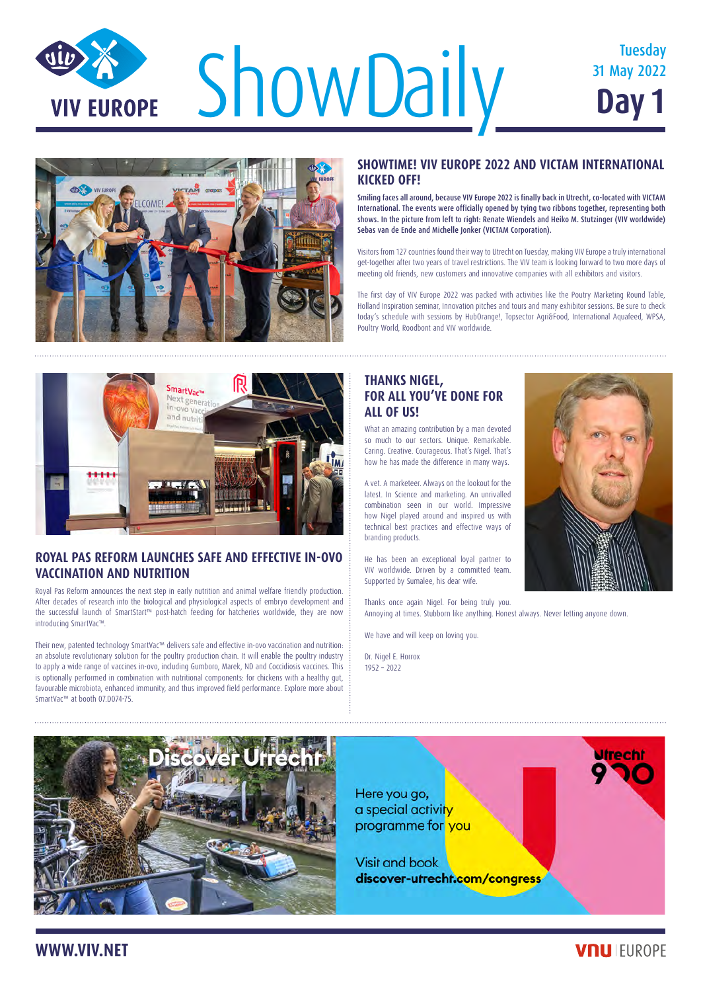# ShowDaily **Show Day 1** Tuesday **VIV EUROPE**

## 31 May 2022 **Day 1**



#### **SHOWTIME! VIV EUROPE 2022 AND VICTAM INTERNATIONAL KICKED OFF!**

Smiling faces all around, because VIV Europe 2022 is finally back in Utrecht, co-located with VICTAM International. The events were officially opened by tying two ribbons together, representing both shows. In the picture from left to right: Renate Wiendels and Heiko M. Stutzinger (VIV worldwide) Sebas van de Ende and Michelle Jonker (VICTAM Corporation).

Visitors from 127 countries found their way to Utrecht on Tuesday, making VIV Europe a truly international get-together after two years of travel restrictions. The VIV team is looking forward to two more days of meeting old friends, new customers and innovative companies with all exhibitors and visitors.

The first day of VIV Europe 2022 was packed with activities like the Poutry Marketing Round Table, Holland Inspiration seminar, Innovation pitches and tours and many exhibitor sessions. Be sure to check today's schedule with sessions by HubOrange!, Topsector Agri&Food, International Aquafeed, WPSA, Poultry World, Roodbont and VIV worldwide.



#### **ROYAL PAS REFORM LAUNCHES SAFE AND EFFECTIVE IN-OVO VACCINATION AND NUTRITION**

Royal Pas Reform announces the next step in early nutrition and animal welfare friendly production. After decades of research into the biological and physiological aspects of embryo development and the successful launch of SmartStart™ post-hatch feeding for hatcheries worldwide, they are now introducing SmartVac™.

Their new, patented technology SmartVac™ delivers safe and effective in-ovo vaccination and nutrition: an absolute revolutionary solution for the poultry production chain. It will enable the poultry industry to apply a wide range of vaccines in-ovo, including Gumboro, Marek, ND and Coccidiosis vaccines. This is optionally performed in combination with nutritional components: for chickens with a healthy gut, favourable microbiota, enhanced immunity, and thus improved field performance. Explore more about SmartVac™ at booth 07.D074-75.

### **WWW.VIV.NET**



**Utrecht** 

## **THANKS NIGEL, FOR ALL YOU'VE DONE FOR ALL OF US!**

What an amazing contribution by a man devoted so much to our sectors. Unique. Remarkable. Caring. Creative. Courageous. That's Nigel. That's how he has made the difference in many ways.

A vet. A marketeer. Always on the lookout for the latest. In Science and marketing. An unrivalled combination seen in our world. Impressive how Nigel played around and inspired us with technical best practices and effective ways of branding products.

He has been an exceptional loyal partner to VIV worldwide. Driven by a committed team. Supported by Sumalee, his dear wife.

Thanks once again Nigel. For being truly you. Annoying at times. Stubborn like anything. Honest always. Never letting anyone down.

We have and will keep on loving you.

Dr. Nigel E. Horrox 1952 – 2022



Here you go, a special activity programme for you

**Visit and book** discover-utrecht.com/congress